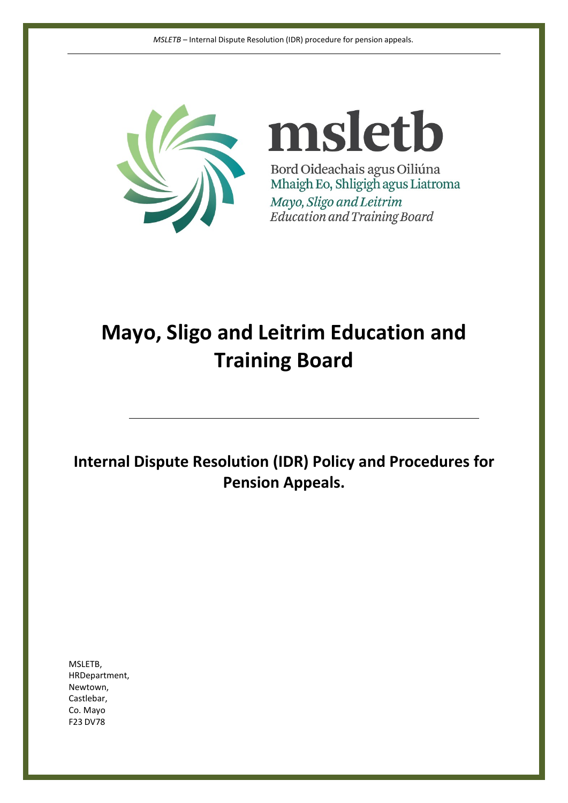

msletb Bord Oideachais agus Oiliúna Mhaigh Eo, Shligigh agus Liatroma Mayo, Sligo and Leitrim Education and Training Board

# **Mayo, Sligo and Leitrim Education and Training Board**

**Internal Dispute Resolution (IDR) Policy and Procedures for Pension Appeals.**

MSLETB, HRDepartment, Newtown, Castlebar, Co. Mayo F23 DV78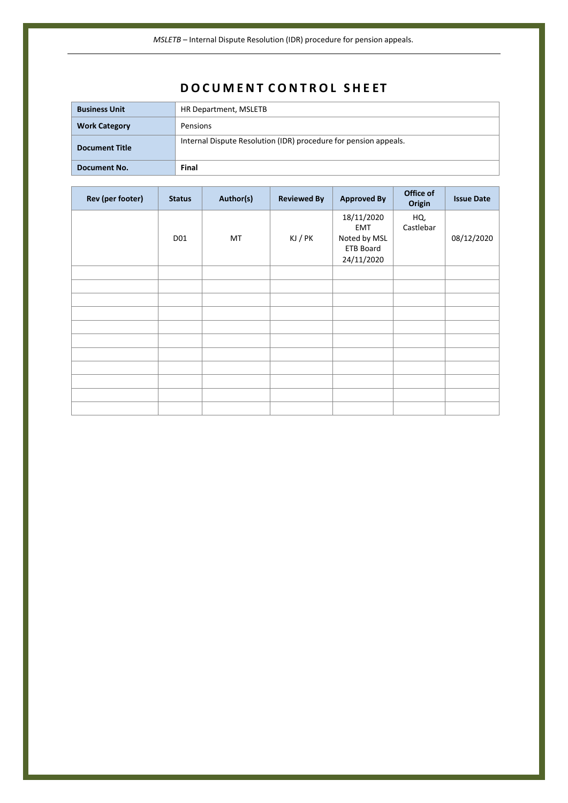## **D O C U M E N T C O N T R O L S H E ET**

| Document No.          | Final                                                            |
|-----------------------|------------------------------------------------------------------|
| <b>Document Title</b> | Internal Dispute Resolution (IDR) procedure for pension appeals. |
| <b>Work Category</b>  | Pensions                                                         |
| <b>Business Unit</b>  | HR Department, MSLETB                                            |

| Rev (per footer) | <b>Status</b> | Author(s) | <b>Reviewed By</b> | <b>Approved By</b>                                                         | Office of<br>Origin | <b>Issue Date</b> |
|------------------|---------------|-----------|--------------------|----------------------------------------------------------------------------|---------------------|-------------------|
|                  | D01           | MT        | KJ / PK            | 18/11/2020<br><b>EMT</b><br>Noted by MSL<br><b>ETB Board</b><br>24/11/2020 | HQ,<br>Castlebar    | 08/12/2020        |
|                  |               |           |                    |                                                                            |                     |                   |
|                  |               |           |                    |                                                                            |                     |                   |
|                  |               |           |                    |                                                                            |                     |                   |
|                  |               |           |                    |                                                                            |                     |                   |
|                  |               |           |                    |                                                                            |                     |                   |
|                  |               |           |                    |                                                                            |                     |                   |
|                  |               |           |                    |                                                                            |                     |                   |
|                  |               |           |                    |                                                                            |                     |                   |
|                  |               |           |                    |                                                                            |                     |                   |
|                  |               |           |                    |                                                                            |                     |                   |
|                  |               |           |                    |                                                                            |                     |                   |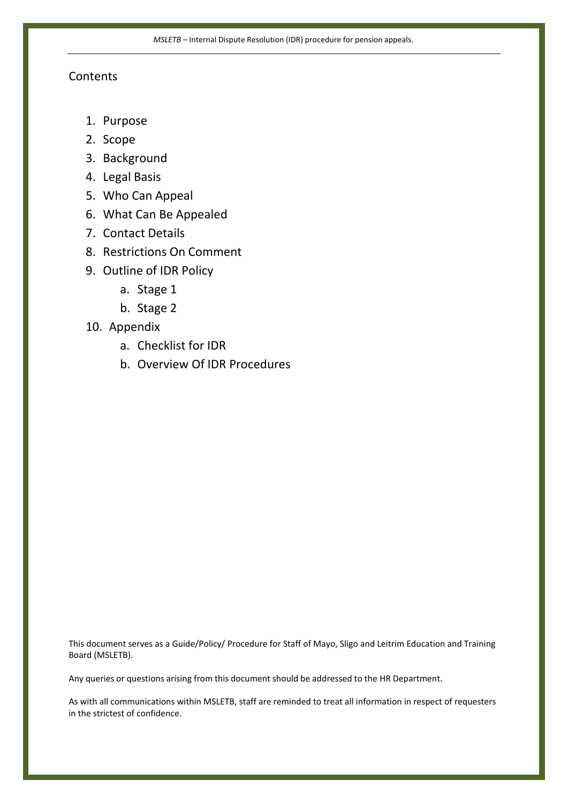### **Contents**

- 1. Purpose
- 2. Scope
- 3. Background
- 4. Legal Basis
- 5. Who Can Appeal
- 6. What Can Be Appealed
- 7. Contact Details
- 8. Restrictions On Comment
- 9. Outline of IDR Policy
	- a. Stage 1
	- b. Stage 2
- 10. Appendix
	- a. Checklist for IDR
	- b. Overview Of IDR Procedures

This document serves as a Guide/Policy/ Procedure for Staff of Mayo, Sligo and Leitrim Education and Training Board (MSLETB).

Any queries or questions arising from this document should be addressed to the HR Department.

As with all communications within MSLETB, staff are reminded to treat all information in respect of requesters in the strictest of confidence.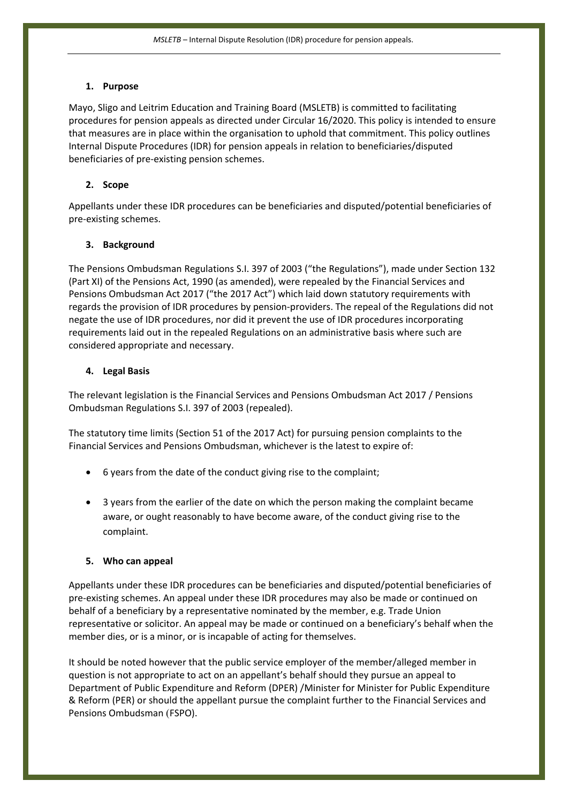#### **1. Purpose**

Mayo, Sligo and Leitrim Education and Training Board (MSLETB) is committed to facilitating procedures for pension appeals as directed under Circular 16/2020. This policy is intended to ensure that measures are in place within the organisation to uphold that commitment. This policy outlines Internal Dispute Procedures (IDR) for pension appeals in relation to beneficiaries/disputed beneficiaries of pre-existing pension schemes.

#### **2. Scope**

Appellants under these IDR procedures can be beneficiaries and disputed/potential beneficiaries of pre-existing schemes.

#### **3. Background**

The Pensions Ombudsman Regulations S.I. 397 of 2003 ("the Regulations"), made under Section 132 (Part XI) of the Pensions Act, 1990 (as amended), were repealed by the Financial Services and Pensions Ombudsman Act 2017 ("the 2017 Act") which laid down statutory requirements with regards the provision of IDR procedures by pension-providers. The repeal of the Regulations did not negate the use of IDR procedures, nor did it prevent the use of IDR procedures incorporating requirements laid out in the repealed Regulations on an administrative basis where such are considered appropriate and necessary.

#### **4. Legal Basis**

The relevant legislation is the Financial Services and Pensions Ombudsman Act 2017 / Pensions Ombudsman Regulations S.I. 397 of 2003 (repealed).

The statutory time limits (Section 51 of the 2017 Act) for pursuing pension complaints to the Financial Services and Pensions Ombudsman, whichever is the latest to expire of:

- 6 years from the date of the conduct giving rise to the complaint;
- 3 years from the earlier of the date on which the person making the complaint became aware, or ought reasonably to have become aware, of the conduct giving rise to the complaint.

#### **5. Who can appeal**

Appellants under these IDR procedures can be beneficiaries and disputed/potential beneficiaries of pre-existing schemes. An appeal under these IDR procedures may also be made or continued on behalf of a beneficiary by a representative nominated by the member, e.g. Trade Union representative or solicitor. An appeal may be made or continued on a beneficiary's behalf when the member dies, or is a minor, or is incapable of acting for themselves.

It should be noted however that the public service employer of the member/alleged member in question is not appropriate to act on an appellant's behalf should they pursue an appeal to Department of Public Expenditure and Reform (DPER) /Minister for Minister for Public Expenditure & Reform (PER) or should the appellant pursue the complaint further to the Financial Services and Pensions Ombudsman (FSPO).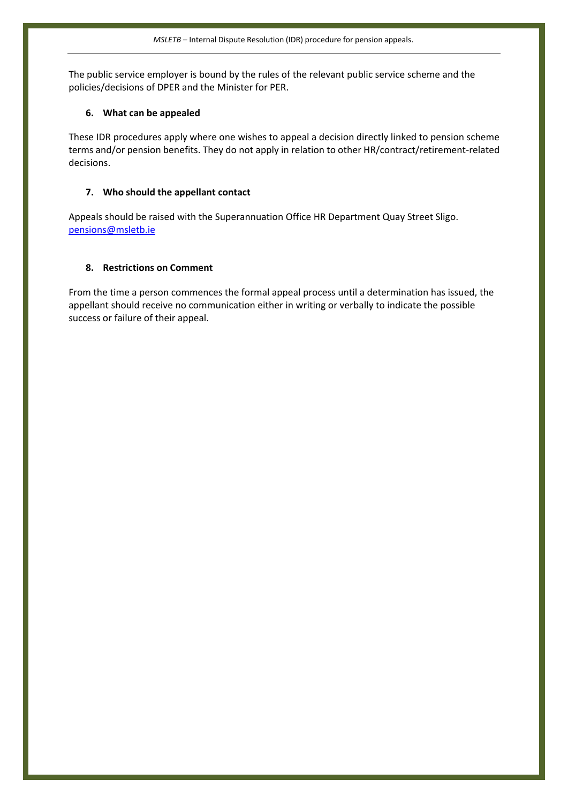The public service employer is bound by the rules of the relevant public service scheme and the policies/decisions of DPER and the Minister for PER.

#### **6. What can be appealed**

These IDR procedures apply where one wishes to appeal a decision directly linked to pension scheme terms and/or pension benefits. They do not apply in relation to other HR/contract/retirement-related decisions.

#### **7. Who should the appellant contact**

Appeals should be raised with the Superannuation Office HR Department Quay Street Sligo. [pensions@msletb.ie](mailto:pensions@msletb.ie)

#### **8. Restrictions on Comment**

From the time a person commences the formal appeal process until a determination has issued, the appellant should receive no communication either in writing or verbally to indicate the possible success or failure of their appeal.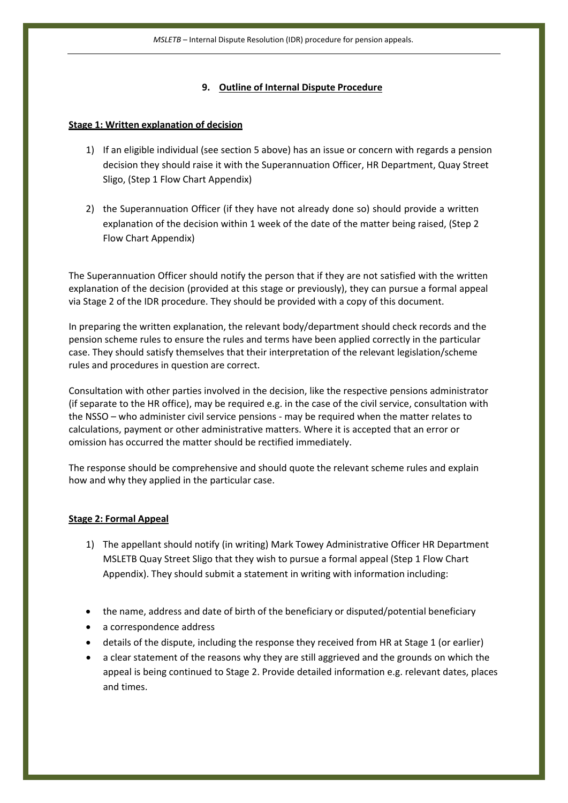#### **9. Outline of Internal Dispute Procedure**

#### **Stage 1: Written explanation of decision**

- 1) If an eligible individual (see section 5 above) has an issue or concern with regards a pension decision they should raise it with the Superannuation Officer, HR Department, Quay Street Sligo, (Step 1 Flow Chart Appendix)
- 2) the Superannuation Officer (if they have not already done so) should provide a written explanation of the decision within 1 week of the date of the matter being raised, (Step 2 Flow Chart Appendix)

The Superannuation Officer should notify the person that if they are not satisfied with the written explanation of the decision (provided at this stage or previously), they can pursue a formal appeal via Stage 2 of the IDR procedure. They should be provided with a copy of this document.

In preparing the written explanation, the relevant body/department should check records and the pension scheme rules to ensure the rules and terms have been applied correctly in the particular case. They should satisfy themselves that their interpretation of the relevant legislation/scheme rules and procedures in question are correct.

Consultation with other parties involved in the decision, like the respective pensions administrator (if separate to the HR office), may be required e.g. in the case of the civil service, consultation with the NSSO – who administer civil service pensions - may be required when the matter relates to calculations, payment or other administrative matters. Where it is accepted that an error or omission has occurred the matter should be rectified immediately.

The response should be comprehensive and should quote the relevant scheme rules and explain how and why they applied in the particular case.

#### **Stage 2: Formal Appeal**

- 1) The appellant should notify (in writing) Mark Towey Administrative Officer HR Department MSLETB Quay Street Sligo that they wish to pursue a formal appeal (Step 1 Flow Chart Appendix). They should submit a statement in writing with information including:
- the name, address and date of birth of the beneficiary or disputed/potential beneficiary
- a correspondence address
- details of the dispute, including the response they received from HR at Stage 1 (or earlier)
- a clear statement of the reasons why they are still aggrieved and the grounds on which the appeal is being continued to Stage 2. Provide detailed information e.g. relevant dates, places and times.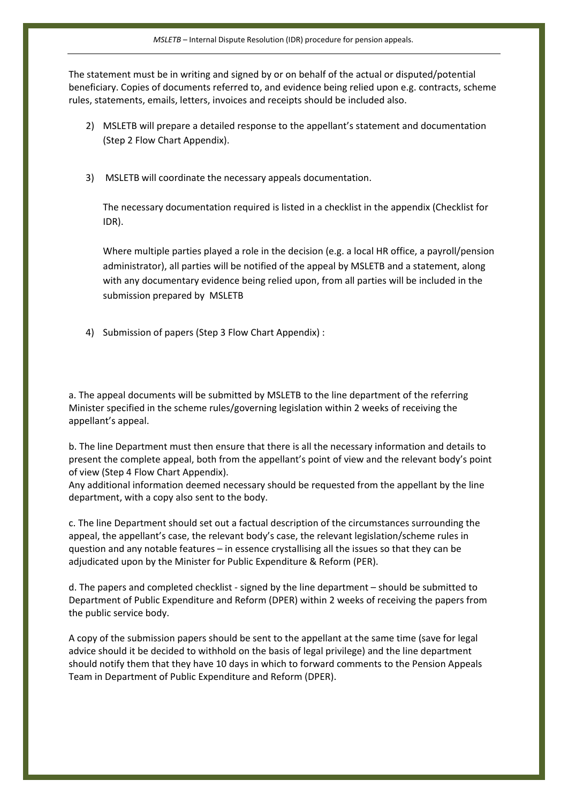The statement must be in writing and signed by or on behalf of the actual or disputed/potential beneficiary. Copies of documents referred to, and evidence being relied upon e.g. contracts, scheme rules, statements, emails, letters, invoices and receipts should be included also.

- 2) MSLETB will prepare a detailed response to the appellant's statement and documentation (Step 2 Flow Chart Appendix).
- 3) MSLETB will coordinate the necessary appeals documentation.

The necessary documentation required is listed in a checklist in the appendix (Checklist for IDR).

Where multiple parties played a role in the decision (e.g. a local HR office, a payroll/pension administrator), all parties will be notified of the appeal by MSLETB and a statement, along with any documentary evidence being relied upon, from all parties will be included in the submission prepared by MSLETB

4) Submission of papers (Step 3 Flow Chart Appendix) :

a. The appeal documents will be submitted by MSLETB to the line department of the referring Minister specified in the scheme rules/governing legislation within 2 weeks of receiving the appellant's appeal.

b. The line Department must then ensure that there is all the necessary information and details to present the complete appeal, both from the appellant's point of view and the relevant body's point of view (Step 4 Flow Chart Appendix).

Any additional information deemed necessary should be requested from the appellant by the line department, with a copy also sent to the body.

c. The line Department should set out a factual description of the circumstances surrounding the appeal, the appellant's case, the relevant body's case, the relevant legislation/scheme rules in question and any notable features – in essence crystallising all the issues so that they can be adjudicated upon by the Minister for Public Expenditure & Reform (PER).

d. The papers and completed checklist - signed by the line department – should be submitted to Department of Public Expenditure and Reform (DPER) within 2 weeks of receiving the papers from the public service body.

A copy of the submission papers should be sent to the appellant at the same time (save for legal advice should it be decided to withhold on the basis of legal privilege) and the line department should notify them that they have 10 days in which to forward comments to the Pension Appeals Team in Department of Public Expenditure and Reform (DPER).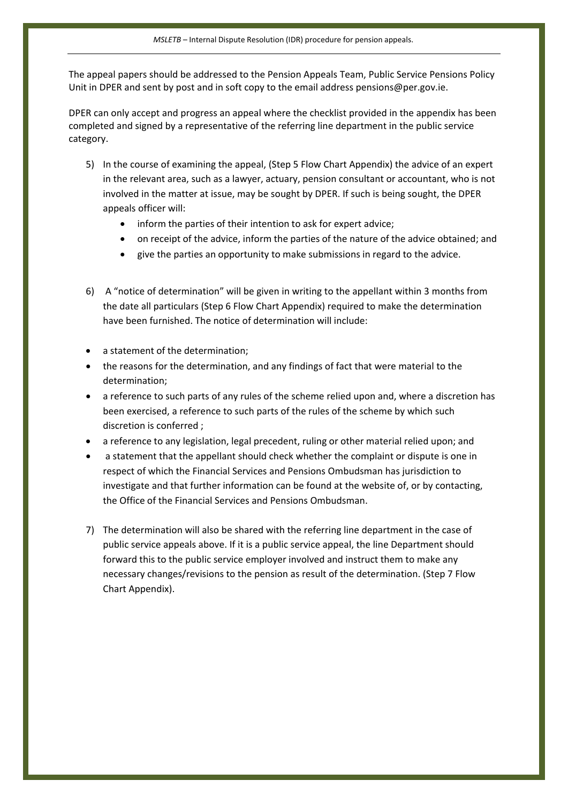The appeal papers should be addressed to the Pension Appeals Team, Public Service Pensions Policy Unit in DPER and sent by post and in soft copy to the email address [pensions@per.gov.ie.](mailto:pensions@per.gov.ie)

DPER can only accept and progress an appeal where the checklist provided in the appendix has been completed and signed by a representative of the referring line department in the public service category.

- 5) In the course of examining the appeal, (Step 5 Flow Chart Appendix) the advice of an expert in the relevant area, such as a lawyer, actuary, pension consultant or accountant, who is not involved in the matter at issue, may be sought by DPER. If such is being sought, the DPER appeals officer will:
	- inform the parties of their intention to ask for expert advice;
	- on receipt of the advice, inform the parties of the nature of the advice obtained; and
	- give the parties an opportunity to make submissions in regard to the advice.
- 6) A "notice of determination" will be given in writing to the appellant within 3 months from the date all particulars (Step 6 Flow Chart Appendix) required to make the determination have been furnished. The notice of determination will include:
- a statement of the determination;
- the reasons for the determination, and any findings of fact that were material to the determination;
- a reference to such parts of any rules of the scheme relied upon and, where a discretion has been exercised, a reference to such parts of the rules of the scheme by which such discretion is conferred ;
- a reference to any legislation, legal precedent, ruling or other material relied upon; and
- a statement that the appellant should check whether the complaint or dispute is one in respect of which the Financial Services and Pensions Ombudsman has jurisdiction to investigate and that further information can be found at the website of, or by contacting, the Office of the Financial Services and Pensions Ombudsman.
- 7) The determination will also be shared with the referring line department in the case of public service appeals above. If it is a public service appeal, the line Department should forward this to the public service employer involved and instruct them to make any necessary changes/revisions to the pension as result of the determination. (Step 7 Flow Chart Appendix).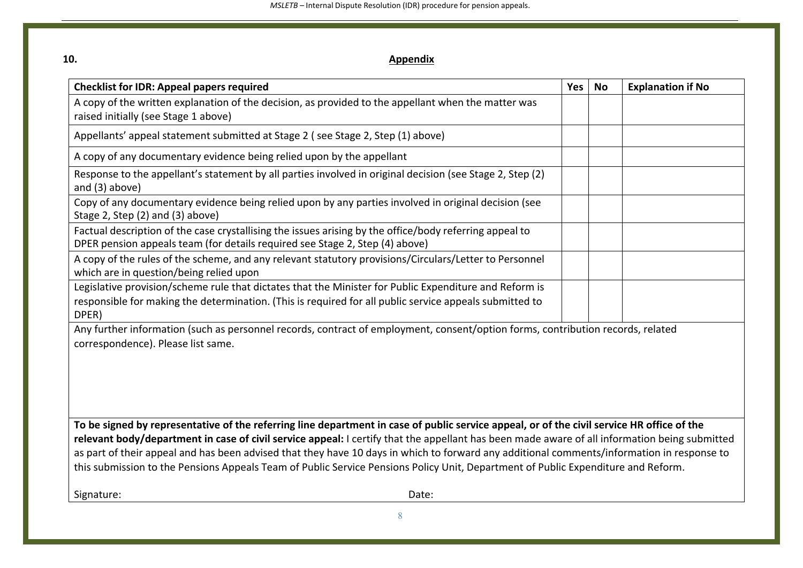| I            |
|--------------|
| ٦<br>×<br>۰, |

## **Appendix**

| <b>Checklist for IDR: Appeal papers required</b>                                                                                                                                                                                                                                                                                                                                                                                                                                                                                                                               | Yes | <b>No</b> | <b>Explanation if No</b> |  |  |  |  |
|--------------------------------------------------------------------------------------------------------------------------------------------------------------------------------------------------------------------------------------------------------------------------------------------------------------------------------------------------------------------------------------------------------------------------------------------------------------------------------------------------------------------------------------------------------------------------------|-----|-----------|--------------------------|--|--|--|--|
| A copy of the written explanation of the decision, as provided to the appellant when the matter was<br>raised initially (see Stage 1 above)                                                                                                                                                                                                                                                                                                                                                                                                                                    |     |           |                          |  |  |  |  |
| Appellants' appeal statement submitted at Stage 2 (see Stage 2, Step (1) above)                                                                                                                                                                                                                                                                                                                                                                                                                                                                                                |     |           |                          |  |  |  |  |
| A copy of any documentary evidence being relied upon by the appellant                                                                                                                                                                                                                                                                                                                                                                                                                                                                                                          |     |           |                          |  |  |  |  |
| Response to the appellant's statement by all parties involved in original decision (see Stage 2, Step (2)<br>and $(3)$ above)                                                                                                                                                                                                                                                                                                                                                                                                                                                  |     |           |                          |  |  |  |  |
| Copy of any documentary evidence being relied upon by any parties involved in original decision (see<br>Stage 2, Step (2) and (3) above)                                                                                                                                                                                                                                                                                                                                                                                                                                       |     |           |                          |  |  |  |  |
| Factual description of the case crystallising the issues arising by the office/body referring appeal to<br>DPER pension appeals team (for details required see Stage 2, Step (4) above)                                                                                                                                                                                                                                                                                                                                                                                        |     |           |                          |  |  |  |  |
| A copy of the rules of the scheme, and any relevant statutory provisions/Circulars/Letter to Personnel<br>which are in question/being relied upon                                                                                                                                                                                                                                                                                                                                                                                                                              |     |           |                          |  |  |  |  |
| Legislative provision/scheme rule that dictates that the Minister for Public Expenditure and Reform is<br>responsible for making the determination. (This is required for all public service appeals submitted to<br>DPER)                                                                                                                                                                                                                                                                                                                                                     |     |           |                          |  |  |  |  |
| Any further information (such as personnel records, contract of employment, consent/option forms, contribution records, related<br>correspondence). Please list same.                                                                                                                                                                                                                                                                                                                                                                                                          |     |           |                          |  |  |  |  |
| To be signed by representative of the referring line department in case of public service appeal, or of the civil service HR office of the<br>relevant body/department in case of civil service appeal: I certify that the appellant has been made aware of all information being submitted<br>as part of their appeal and has been advised that they have 10 days in which to forward any additional comments/information in response to<br>this submission to the Pensions Appeals Team of Public Service Pensions Policy Unit, Department of Public Expenditure and Reform. |     |           |                          |  |  |  |  |
| Signature:<br>Date:                                                                                                                                                                                                                                                                                                                                                                                                                                                                                                                                                            |     |           |                          |  |  |  |  |